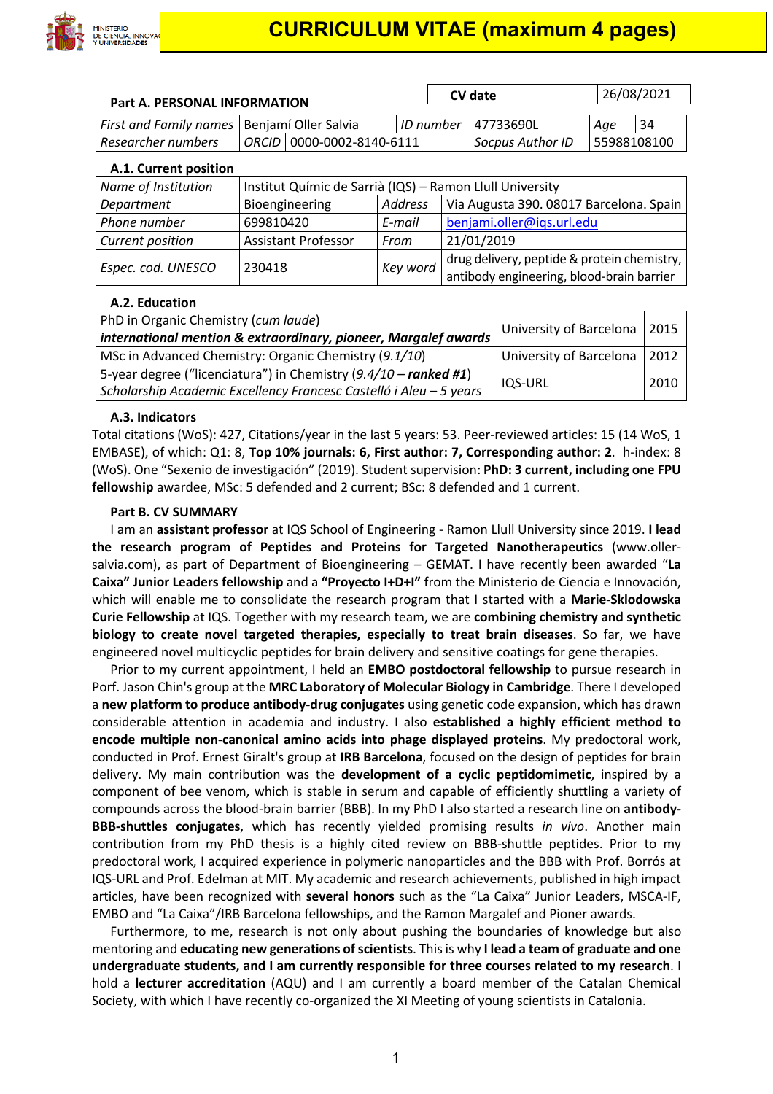

| <b>Part A. PERSONAL INFORMATION</b> |                                                          |                | CV date   |                                                                                          | 26/08/2021  |    |  |  |
|-------------------------------------|----------------------------------------------------------|----------------|-----------|------------------------------------------------------------------------------------------|-------------|----|--|--|
|                                     |                                                          |                |           |                                                                                          |             |    |  |  |
| <b>First and Family names</b>       | Benjamí Oller Salvia                                     |                | ID number | 47733690L                                                                                | Age         | 34 |  |  |
| Researcher numbers                  | 0000-0002-8140-6111<br><b>ORCID</b>                      |                |           | Socpus Author ID                                                                         | 55988108100 |    |  |  |
| A.1. Current position               |                                                          |                |           |                                                                                          |             |    |  |  |
| Name of Institution                 | Institut Químic de Sarrià (IQS) - Ramon Llull University |                |           |                                                                                          |             |    |  |  |
| Department                          | Bioengineering                                           | <b>Address</b> |           | Via Augusta 390. 08017 Barcelona. Spain                                                  |             |    |  |  |
| Phone number                        | 699810420                                                | E-mail         |           | benjami.oller@iqs.url.edu                                                                |             |    |  |  |
| Current position                    | <b>Assistant Professor</b>                               | From           |           | 21/01/2019                                                                               |             |    |  |  |
| Espec. cod. UNESCO                  | 230418                                                   | Key word       |           | drug delivery, peptide & protein chemistry,<br>antibody engineering, blood-brain barrier |             |    |  |  |

#### **A.2. Education**

| PhD in Organic Chemistry (cum laude)<br>international mention & extraordinary, pioneer, Margalef awards                                  | University of Barcelona | 2015 |
|------------------------------------------------------------------------------------------------------------------------------------------|-------------------------|------|
| MSc in Advanced Chemistry: Organic Chemistry (9.1/10)                                                                                    | University of Barcelona | 2012 |
| 5-year degree ("licenciatura") in Chemistry $(9.4/10 -$ ranked #1)<br>Scholarship Academic Excellency Francesc Castelló i Aleu - 5 years | IQS-URL                 | 2010 |

#### **A.3. Indicators**

Total citations (WoS): 427, Citations/year in the last 5 years: 53. Peer-reviewed articles: 15 (14 WoS, 1 EMBASE), of which: Q1: 8, **Top 10% journals: 6, First author: 7, Corresponding author: 2**. h-index: 8 (WoS). One "Sexenio de investigación" (2019). Student supervision: **PhD: 3 current, including one FPU fellowship** awardee, MSc: 5 defended and 2 current; BSc: 8 defended and 1 current.

#### **Part B. CV SUMMARY**

I am an **assistant professor** at IQS School of Engineering - Ramon Llull University since 2019. **I lead the research program of Peptides and Proteins for Targeted Nanotherapeutics** (www.ollersalvia.com), as part of Department of Bioengineering – GEMAT. I have recently been awarded "**La Caixa" Junior Leaders fellowship** and a **"Proyecto I+D+I"** from the Ministerio de Ciencia e Innovación, which will enable me to consolidate the research program that I started with a **Marie-Sklodowska Curie Fellowship** at IQS. Together with my research team, we are **combining chemistry and synthetic biology to create novel targeted therapies, especially to treat brain diseases**. So far, we have engineered novel multicyclic peptides for brain delivery and sensitive coatings for gene therapies.

Prior to my current appointment, I held an **EMBO postdoctoral fellowship** to pursue research in Porf. Jason Chin's group at the **MRC Laboratory of Molecular Biology in Cambridge**. There I developed a **new platform to produce antibody-drug conjugates** using genetic code expansion, which has drawn considerable attention in academia and industry. I also **established a highly efficient method to encode multiple non-canonical amino acids into phage displayed proteins**. My predoctoral work, conducted in Prof. Ernest Giralt's group at **IRB Barcelona**, focused on the design of peptides for brain delivery. My main contribution was the **development of a cyclic peptidomimetic**, inspired by a component of bee venom, which is stable in serum and capable of efficiently shuttling a variety of compounds across the blood-brain barrier (BBB). In my PhD I also started a research line on **antibody-BBB-shuttles conjugates**, which has recently yielded promising results *in vivo*. Another main contribution from my PhD thesis is a highly cited review on BBB-shuttle peptides. Prior to my predoctoral work, I acquired experience in polymeric nanoparticles and the BBB with Prof. Borrós at IQS-URL and Prof. Edelman at MIT. My academic and research achievements, published in high impact articles, have been recognized with **several honors** such as the "La Caixa" Junior Leaders, MSCA-IF, EMBO and "La Caixa"/IRB Barcelona fellowships, and the Ramon Margalef and Pioner awards.

Furthermore, to me, research is not only about pushing the boundaries of knowledge but also mentoring and **educating new generations of scientists**. This is why **I lead a team of graduate and one undergraduate students, and I am currently responsible for three courses related to my research**. I hold a **lecturer accreditation** (AQU) and I am currently a board member of the Catalan Chemical Society, with which I have recently co-organized the XI Meeting of young scientists in Catalonia.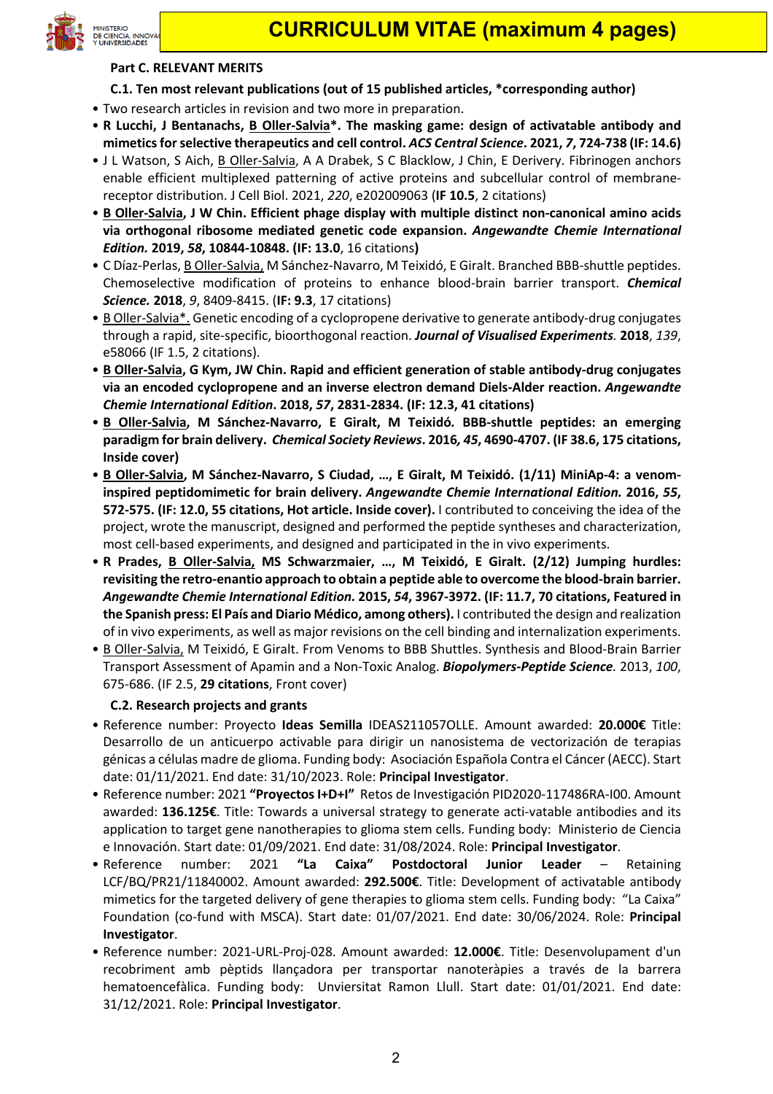

#### **Part C. RELEVANT MERITS**

- **C.1. Ten most relevant publications (out of 15 published articles, \*corresponding author)**
- Two research articles in revision and two more in preparation.
- **R Lucchi, J Bentanachs, B Oller-Salvia\*. The masking game: design of activatable antibody and mimeticsfor selective therapeutics and cell control.** *ACS Central Science***. 2021,** *7***, 724-738 (IF: 14.6)**
- J L Watson, S Aich, B Oller-Salvia, A A Drabek, S C Blacklow, J Chin, E Derivery. Fibrinogen anchors enable efficient multiplexed patterning of active proteins and subcellular control of membranereceptor distribution. J Cell Biol. 2021, *220*, e202009063 (**IF 10.5**, 2 citations)
- **B Oller-Salvia, J W Chin. Efficient phage display with multiple distinct non-canonical amino acids via orthogonal ribosome mediated genetic code expansion.** *Angewandte Chemie International Edition.* **2019,** *58***, 10844-10848. (IF: 13.0**, 16 citations**)**
- C Díaz-Perlas, B Oller-Salvia, M Sánchez-Navarro, M Teixidó, E Giralt. Branched BBB-shuttle peptides. Chemoselective modification of proteins to enhance blood-brain barrier transport. *Chemical Science.* **2018**, *9*, 8409-8415. (**IF: 9.3**, 17 citations)
- B Oller-Salvia\*. Genetic encoding of a cyclopropene derivative to generate antibody-drug conjugates through a rapid, site-specific, bioorthogonal reaction. *Journal of Visualised Experiments.* **2018**, *139*, e58066 (IF 1.5, 2 citations).
- **B Oller-Salvia, G Kym, JW Chin. Rapid and efficient generation of stable antibody-drug conjugates via an encoded cyclopropene and an inverse electron demand Diels-Alder reaction.** *Angewandte Chemie International Edition***. 2018,** *57***, 2831-2834. (IF: 12.3, 41 citations)**
- **B Oller-Salvia, M Sánchez-Navarro, E Giralt, M Teixidó***.* **BBB-shuttle peptides: an emerging paradigm for brain delivery.** *Chemical Society Reviews***. 2016***, 45***, 4690-4707. (IF 38.6, 175 citations, Inside cover)**
- **B Oller-Salvia, M Sánchez-Navarro, S Ciudad, …, E Giralt, M Teixidó. (1/11) MiniAp-4: a venominspired peptidomimetic for brain delivery.** *Angewandte Chemie International Edition.* **2016,** *55***, 572-575. (IF: 12.0, 55 citations, Hot article. Inside cover).** I contributed to conceiving the idea of the project, wrote the manuscript, designed and performed the peptide syntheses and characterization, most cell-based experiments, and designed and participated in the in vivo experiments.
- **R Prades, B Oller-Salvia, MS Schwarzmaier, …, M Teixidó, E Giralt. (2/12) Jumping hurdles: revisiting the retro-enantio approach to obtain a peptide able to overcome the blood-brain barrier.**  *Angewandte Chemie International Edition.* **2015,** *54***, 3967-3972. (IF: 11.7, 70 citations, Featured in the Spanish press: El País and Diario Médico, among others).** I contributed the design and realization of in vivo experiments, as well as major revisions on the cell binding and internalization experiments.
- B Oller-Salvia, M Teixidó, E Giralt. From Venoms to BBB Shuttles. Synthesis and Blood-Brain Barrier Transport Assessment of Apamin and a Non-Toxic Analog. *Biopolymers-Peptide Science.* 2013, *100*, 675-686. (IF 2.5, **29 citations**, Front cover)

## **C.2. Research projects and grants**

- Reference number: Proyecto **Ideas Semilla** IDEAS211057OLLE. Amount awarded: **20.000€** Title: Desarrollo de un anticuerpo activable para dirigir un nanosistema de vectorización de terapias génicas a células madre de glioma. Funding body: Asociación Española Contra el Cáncer (AECC). Start date: 01/11/2021. End date: 31/10/2023. Role: **Principal Investigator**.
- Reference number: 2021 **"Proyectos I+D+I"** Retos de Investigación PID2020-117486RA-I00. Amount awarded: **136.125€**. Title: Towards a universal strategy to generate acti-vatable antibodies and its application to target gene nanotherapies to glioma stem cells. Funding body: Ministerio de Ciencia e Innovación. Start date: 01/09/2021. End date: 31/08/2024. Role: **Principal Investigator**.
- Reference number: 2021 **"La Caixa" Postdoctoral Junior Leader** Retaining LCF/BQ/PR21/11840002. Amount awarded: **292.500€**. Title: Development of activatable antibody mimetics for the targeted delivery of gene therapies to glioma stem cells. Funding body: "La Caixa" Foundation (co-fund with MSCA). Start date: 01/07/2021. End date: 30/06/2024. Role: **Principal Investigator**.
- Reference number: 2021-URL-Proj-028. Amount awarded: **12.000€**. Title: Desenvolupament d'un recobriment amb pèptids llançadora per transportar nanoteràpies a través de la barrera hematoencefàlica. Funding body: Unviersitat Ramon Llull. Start date: 01/01/2021. End date: 31/12/2021. Role: **Principal Investigator**.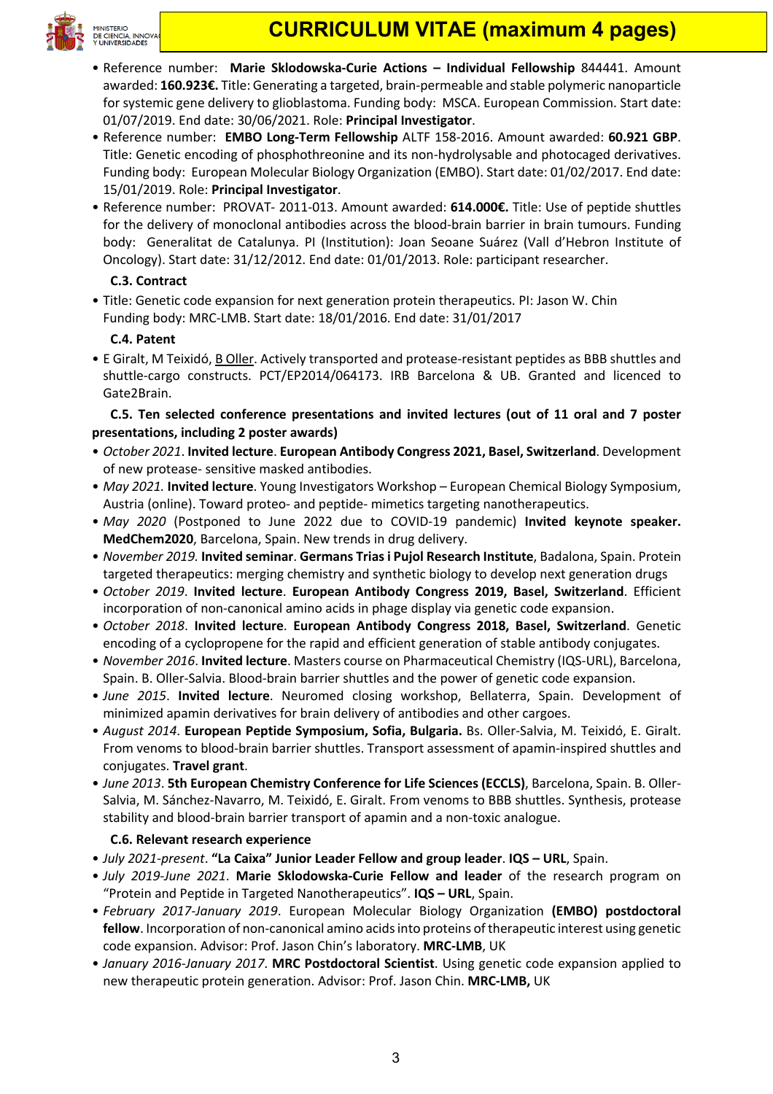

# **CURRICULUM VITAE (maximum 4 pages)**

- Reference number: **Marie Sklodowska-Curie Actions – Individual Fellowship** 844441. Amount awarded: **160.923€.** Title: Generating a targeted, brain-permeable and stable polymeric nanoparticle for systemic gene delivery to glioblastoma. Funding body: MSCA. European Commission. Start date: 01/07/2019. End date: 30/06/2021. Role: **Principal Investigator**.
- Reference number: **EMBO Long-Term Fellowship** ALTF 158-2016. Amount awarded: **60.921 GBP**. Title: Genetic encoding of phosphothreonine and its non-hydrolysable and photocaged derivatives. Funding body: European Molecular Biology Organization (EMBO). Start date: 01/02/2017. End date: 15/01/2019. Role: **Principal Investigator**.
- Reference number: PROVAT- 2011-013. Amount awarded: **614.000€.** Title: Use of peptide shuttles for the delivery of monoclonal antibodies across the blood-brain barrier in brain tumours. Funding body: Generalitat de Catalunya. PI (Institution): Joan Seoane Suárez (Vall d'Hebron Institute of Oncology). Start date: 31/12/2012. End date: 01/01/2013. Role: participant researcher.

# **C.3. Contract**

• Title: Genetic code expansion for next generation protein therapeutics. PI: Jason W. Chin Funding body: MRC-LMB. Start date: 18/01/2016. End date: 31/01/2017

## **C.4. Patent**

• E Giralt, M Teixidó, B Oller. Actively transported and protease-resistant peptides as BBB shuttles and shuttle-cargo constructs. PCT/EP2014/064173. IRB Barcelona & UB. Granted and licenced to Gate2Brain.

**C.5. Ten selected conference presentations and invited lectures (out of 11 oral and 7 poster presentations, including 2 poster awards)**

- *October 2021*. **Invited lecture**. **European Antibody Congress 2021, Basel, Switzerland**. Development of new protease- sensitive masked antibodies.
- *May 2021.* **Invited lecture**. Young Investigators Workshop European Chemical Biology Symposium, Austria (online). Toward proteo- and peptide- mimetics targeting nanotherapeutics.
- *May 2020* (Postponed to June 2022 due to COVID-19 pandemic) **Invited keynote speaker. MedChem2020**, Barcelona, Spain. New trends in drug delivery.
- *November 2019.* **Invited seminar**. **Germans Trias i Pujol Research Institute**, Badalona, Spain. Protein targeted therapeutics: merging chemistry and synthetic biology to develop next generation drugs
- *October 2019*. **Invited lecture**. **European Antibody Congress 2019, Basel, Switzerland**. Efficient incorporation of non-canonical amino acids in phage display via genetic code expansion.
- *October 2018*. **Invited lecture**. **European Antibody Congress 2018, Basel, Switzerland**. Genetic encoding of a cyclopropene for the rapid and efficient generation of stable antibody conjugates.
- *November 2016*. **Invited lecture**. Masters course on Pharmaceutical Chemistry (IQS-URL), Barcelona, Spain. B. Oller-Salvia. Blood-brain barrier shuttles and the power of genetic code expansion.
- *June 2015*. **Invited lecture**. Neuromed closing workshop, Bellaterra, Spain. Development of minimized apamin derivatives for brain delivery of antibodies and other cargoes.
- *August 2014*. **European Peptide Symposium, Sofia, Bulgaria.** Bs. Oller-Salvia, M. Teixidó, E. Giralt. From venoms to blood-brain barrier shuttles. Transport assessment of apamin-inspired shuttles and conjugates. **Travel grant**.
- *June 2013*. **5th European Chemistry Conference for Life Sciences (ECCLS)**, Barcelona, Spain. B. Oller-Salvia, M. Sánchez-Navarro, M. Teixidó, E. Giralt. From venoms to BBB shuttles. Synthesis, protease stability and blood-brain barrier transport of apamin and a non-toxic analogue.

## **C.6. Relevant research experience**

- *July 2021-present*. **"La Caixa" Junior Leader Fellow and group leader**. **IQS – URL**, Spain.
- *July 2019-June 2021*. **Marie Sklodowska-Curie Fellow and leader** of the research program on "Protein and Peptide in Targeted Nanotherapeutics". **IQS – URL**, Spain.
- *February 2017-January 2019*. European Molecular Biology Organization **(EMBO) postdoctoral fellow**. Incorporation of non-canonical amino acids into proteins of therapeutic interest using genetic code expansion. Advisor: Prof. Jason Chin's laboratory. **MRC-LMB**, UK
- *January 2016-January 2017*. **MRC Postdoctoral Scientist**. Using genetic code expansion applied to new therapeutic protein generation. Advisor: Prof. Jason Chin. **MRC-LMB,** UK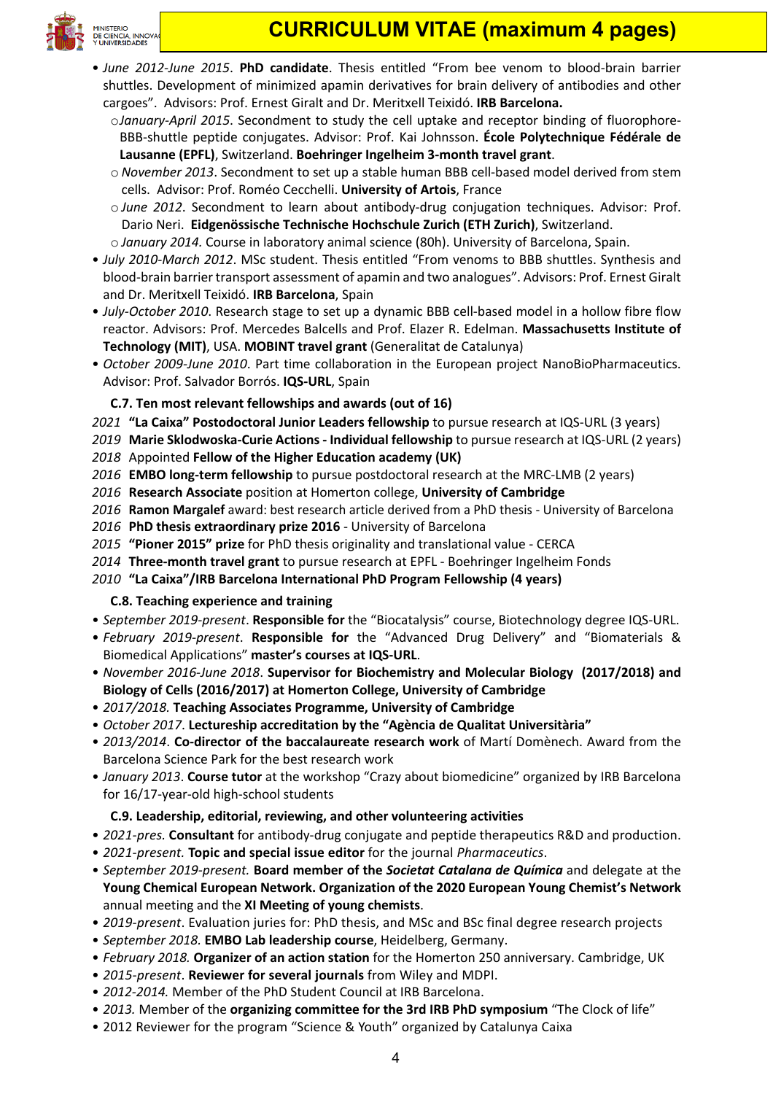

- *June 2012-June 2015*. **PhD candidate**. Thesis entitled "From bee venom to blood-brain barrier shuttles. Development of minimized apamin derivatives for brain delivery of antibodies and other cargoes". Advisors: Prof. Ernest Giralt and Dr. Meritxell Teixidó. **IRB Barcelona.**
	- o*January-April 2015*. Secondment to study the cell uptake and receptor binding of fluorophore-BBB-shuttle peptide conjugates. Advisor: Prof. Kai Johnsson. **École Polytechnique Fédérale de Lausanne (EPFL)**, Switzerland. **Boehringer Ingelheim 3-month travel grant**.
	- o *November 2013*. Secondment to set up a stable human BBB cell-based model derived from stem cells. Advisor: Prof. Roméo Cecchelli. **University of Artois**, France
	- o *June 2012*. Secondment to learn about antibody-drug conjugation techniques. Advisor: Prof. Dario Neri. **Eidgenössische Technische Hochschule Zurich (ETH Zurich)**, Switzerland.
	- o *January 2014.* Course in laboratory animal science (80h). University of Barcelona, Spain.
- *July 2010-March 2012*. MSc student. Thesis entitled "From venoms to BBB shuttles. Synthesis and blood-brain barrier transport assessment of apamin and two analogues". Advisors: Prof. Ernest Giralt and Dr. Meritxell Teixidó. **IRB Barcelona**, Spain
- *July-October 2010*. Research stage to set up a dynamic BBB cell-based model in a hollow fibre flow reactor. Advisors: Prof. Mercedes Balcells and Prof. Elazer R. Edelman. **Massachusetts Institute of Technology (MIT)**, USA. **MOBINT travel grant** (Generalitat de Catalunya)
- *October 2009-June 2010*. Part time collaboration in the European project NanoBioPharmaceutics. Advisor: Prof. Salvador Borrós. **IQS-URL**, Spain

# **C.7. Ten most relevant fellowships and awards (out of 16)**

- *2021* **"La Caixa" Postodoctoral Junior Leaders fellowship** to pursue research at IQS-URL (3 years)
- *2019* **Marie Sklodwoska-Curie Actions - Individual fellowship** to pursue research at IQS-URL (2 years)
- *2018* Appointed **Fellow of the Higher Education academy (UK)**
- *2016* **EMBO long-term fellowship** to pursue postdoctoral research at the MRC-LMB (2 years)
- *2016* **Research Associate** position at Homerton college, **University of Cambridge**
- *2016* **Ramon Margalef** award: best research article derived from a PhD thesis University of Barcelona
- *2016* **PhD thesis extraordinary prize 2016** University of Barcelona
- *2015* **"Pioner 2015" prize** for PhD thesis originality and translational value CERCA
- *2014* **Three-month travel grant** to pursue research at EPFL Boehringer Ingelheim Fonds
- *2010* **"La Caixa"/IRB Barcelona International PhD Program Fellowship (4 years)**

# **C.8. Teaching experience and training**

- *September 2019-present*. **Responsible for** the "Biocatalysis" course, Biotechnology degree IQS-URL.
- *February 2019-present*. **Responsible for** the "Advanced Drug Delivery" and "Biomaterials & Biomedical Applications" **master's courses at IQS-URL**.
- *November 2016-June 2018*. **Supervisor for Biochemistry and Molecular Biology (2017/2018) and Biology of Cells (2016/2017) at Homerton College, University of Cambridge**
- *2017/2018.* **Teaching Associates Programme, University of Cambridge**
- *October 2017*. **Lectureship accreditation by the "Agència de Qualitat Universitària"**
- *2013/2014*. **Co-director of the baccalaureate research work** of Martí Domènech. Award from the Barcelona Science Park for the best research work
- *January 2013*. **Course tutor** at the workshop "Crazy about biomedicine" organized by IRB Barcelona for 16/17-year-old high-school students

# **C.9. Leadership, editorial, reviewing, and other volunteering activities**

- *2021-pres.* **Consultant** for antibody-drug conjugate and peptide therapeutics R&D and production.
- *2021-present.* **Topic and special issue editor** for the journal *Pharmaceutics*.
- *September 2019-present.* **Board member of the** *Societat Catalana de Química* and delegate at the **Young Chemical European Network. Organization of the 2020 European Young Chemist's Network** annual meeting and the **XI Meeting of young chemists**.
- *2019-present*. Evaluation juries for: PhD thesis, and MSc and BSc final degree research projects
- *September 2018.* **EMBO Lab leadership course**, Heidelberg, Germany.
- *February 2018.* **Organizer of an action station** for the Homerton 250 anniversary. Cambridge, UK
- *2015-present*. **Reviewer for several journals** from Wiley and MDPI.
- *2012-2014.* Member of the PhD Student Council at IRB Barcelona.
- *2013.* Member of the **organizing committee for the 3rd IRB PhD symposium** "The Clock of life"
- 2012 Reviewer for the program "Science & Youth" organized by Catalunya Caixa